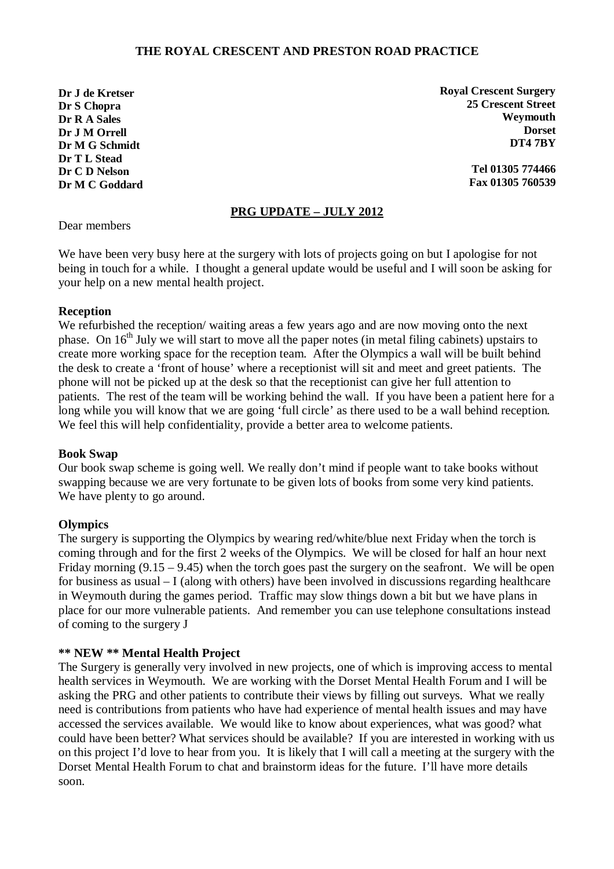## **THE ROYAL CRESCENT AND PRESTON ROAD PRACTICE**

**Dr J de Kretser Dr S Chopra Dr R A Sales Dr J M Orrell Dr M G Schmidt Dr T L Stead Dr C D Nelson Dr M C Goddard** **Royal Crescent Surgery 25 Crescent Street Weymouth Dorset DT4 7BY**

> **Tel 01305 774466 Fax 01305 760539**

## **PRG UPDATE – JULY 2012**

Dear members

We have been very busy here at the surgery with lots of projects going on but I apologise for not being in touch for a while. I thought a general update would be useful and I will soon be asking for your help on a new mental health project.

#### **Reception**

We refurbished the reception/ waiting areas a few years ago and are now moving onto the next phase. On  $16<sup>th</sup>$  July we will start to move all the paper notes (in metal filing cabinets) upstairs to create more working space for the reception team. After the Olympics a wall will be built behind the desk to create a 'front of house' where a receptionist will sit and meet and greet patients. The phone will not be picked up at the desk so that the receptionist can give her full attention to patients. The rest of the team will be working behind the wall. If you have been a patient here for a long while you will know that we are going 'full circle' as there used to be a wall behind reception. We feel this will help confidentiality, provide a better area to welcome patients.

#### **Book Swap**

Our book swap scheme is going well. We really don't mind if people want to take books without swapping because we are very fortunate to be given lots of books from some very kind patients. We have plenty to go around.

#### **Olympics**

The surgery is supporting the Olympics by wearing red/white/blue next Friday when the torch is coming through and for the first 2 weeks of the Olympics. We will be closed for half an hour next Friday morning  $(9.15 - 9.45)$  when the torch goes past the surgery on the seafront. We will be open for business as usual – I (along with others) have been involved in discussions regarding healthcare in Weymouth during the games period. Traffic may slow things down a bit but we have plans in place for our more vulnerable patients. And remember you can use telephone consultations instead of coming to the surgery J

### **\*\* NEW \*\* Mental Health Project**

The Surgery is generally very involved in new projects, one of which is improving access to mental health services in Weymouth. We are working with the Dorset Mental Health Forum and I will be asking the PRG and other patients to contribute their views by filling out surveys. What we really need is contributions from patients who have had experience of mental health issues and may have accessed the services available. We would like to know about experiences, what was good? what could have been better? What services should be available? If you are interested in working with us on this project I'd love to hear from you. It is likely that I will call a meeting at the surgery with the Dorset Mental Health Forum to chat and brainstorm ideas for the future. I'll have more details soon.